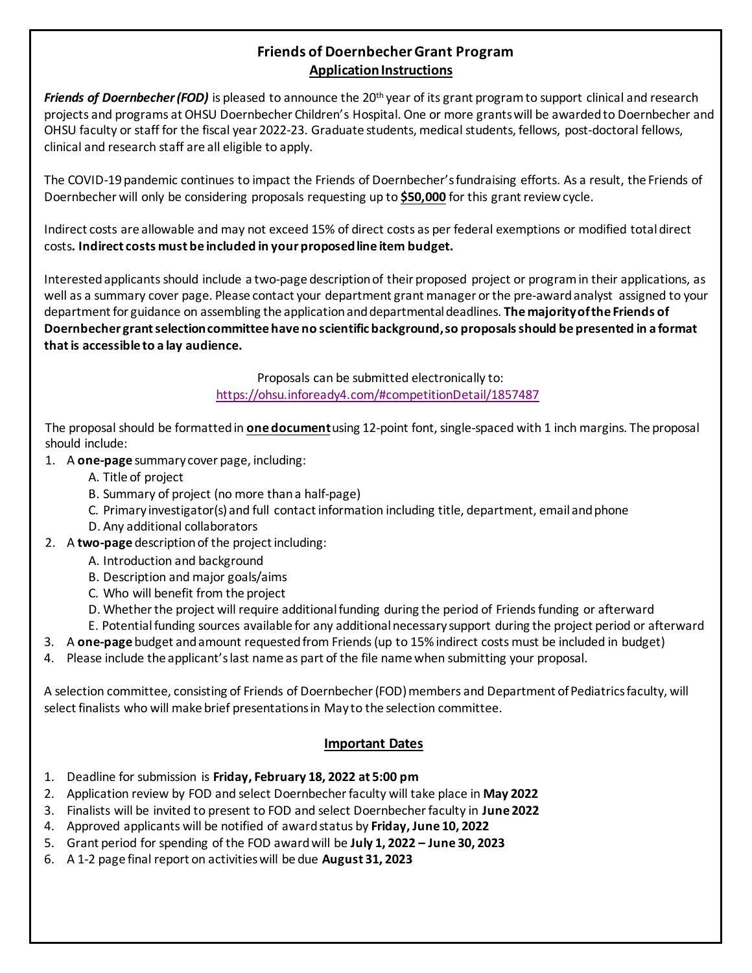# **Friends of DoernbecherGrant Program Application Instructions**

*Friends of Doernbecher (FOD)* is pleased to announce the 20th year of its grant programto support clinical and research projects and programs atOHSU Doernbecher Children's Hospital. One or more grantswill be awardedto Doernbecher and OHSU faculty or staff for the fiscal year 2022-23. Graduate students, medical students, fellows, post-doctoral fellows, clinical and research staff are all eligible to apply.

The COVID-19 pandemic continues to impact the Friends of Doernbecher's fundraising efforts. As a result, the Friends of Doernbecher will only be considering proposals requesting up to **\$50,000** for this grant review cycle.

Indirect costs are allowable and may not exceed 15% of direct costs as per federal exemptions or modified total direct costs**. Indirect costs must be included in your proposed line item budget.**

Interested applicants should include a two-page descriptionof their proposed project or programin their applications, as well as a summary cover page. Please contact your department grant manager or the pre-awardanalyst assigned to your departmentfor guidance on assembling the application and departmental deadlines. **The majority of the Friends of Doernbecher grant selectioncommittee have no scientific background,so proposalsshould be presented in a format that is accessible to a lay audience.**

> Proposals can be submitted electronically to: <https://ohsu.infoready4.com/#competitionDetail/1857487>

The proposal should be formatted in **one document**using 12-point font, single-spaced with 1 inch margins. The proposal should include:

- 1. A **one-page** summary cover page, including:
	- A. Title of project
	- B. Summary of project (no more than a half-page)
	- C. Primary investigator(s) and full contactinformation including title, department, email and phone
	- D. Any additional collaborators
- 2. A **two-page** description of the project including:
	- A. Introduction and background
	- B. Description and major goals/aims
	- C. Who will benefit from the project
	- D. Whether the project will require additional funding during the period of Friends funding or afterward
	- E. Potentialfunding sources available for any additionalnecessary support during the project period or afterward
- 3. A **one-page** budget and amount requested from Friends(up to 15%indirect costs must be included in budget)
- 4. Please include the applicant's last name as part of the file name when submitting your proposal.

A selection committee, consisting of Friends of Doernbecher (FOD) members and Department of Pediatrics faculty, will select finalists who will make brief presentations in May to the selection committee.

## **Important Dates**

- 1. Deadline for submission is **Friday, February 18, 2022 at 5:00 pm**
- 2. Application review by FOD and select Doernbecher faculty will take place in **May 2022**
- 3. Finalists will be invited to present to FOD and select Doernbecher faculty in **June 2022**
- 4. Approved applicants will be notified of award status by **Friday, June 10, 2022**
- 5. Grant period for spending of the FOD award will be **July 1, 2022 – June 30, 2023**
- 6. A 1-2 page final report on activities will be due **August 31, 2023**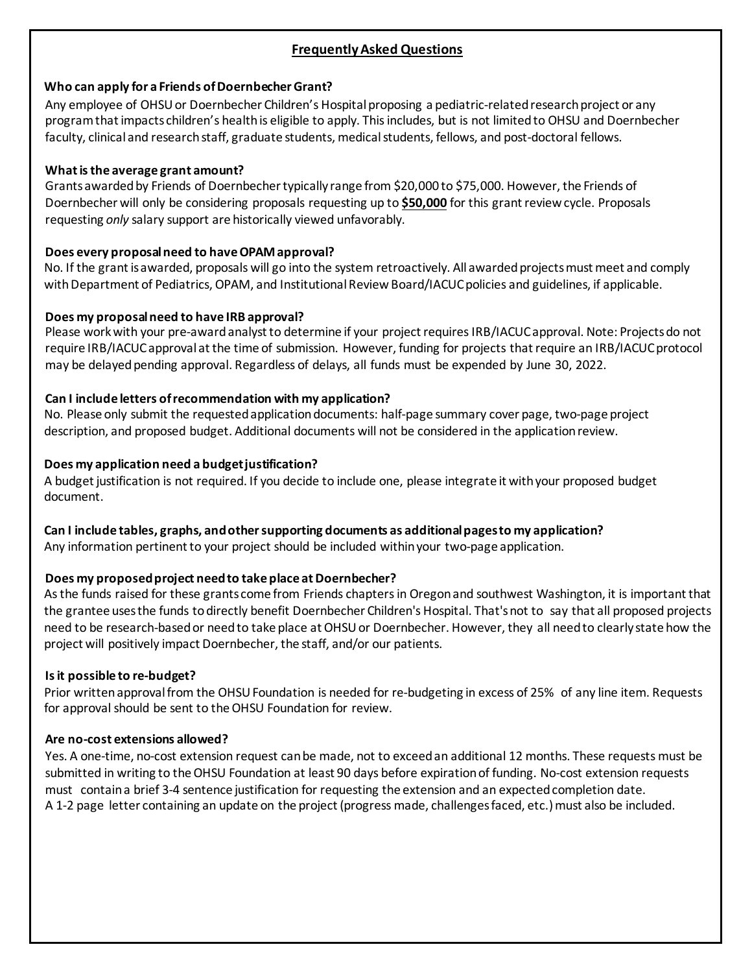## **FrequentlyAsked Questions**

### **Who can apply for a Friends ofDoernbecherGrant?**

Any employee of OHSU or Doernbecher Children's Hospital proposing a pediatric-related research project or any program that impacts children's health is eligible to apply. This includes, but is not limited to OHSU and Doernbecher faculty, clinical and research staff, graduate students, medical students, fellows, and post-doctoral fellows.

## **What is the average grant amount?**

Grants awarded by Friends of Doernbecher typically range from \$20,000 to \$75,000. However, the Friends of Doernbecher will only be considering proposals requesting up to **\$50,000** for this grant review cycle. Proposals requesting *only* salary support are historically viewed unfavorably.

## **Does every proposalneed to have OPAMapproval?**

No. If the grant is awarded, proposals will go into the system retroactively. All awarded projects must meet and comply with Department of Pediatrics, OPAM, and Institutional Review Board/IACUC policies and guidelines, if applicable.

## **Does my proposalneed to have IRB approval?**

Please work with your pre-award analyst to determine if your project requires IRB/IACUC approval. Note: Projects do not require IRB/IACUC approval at the time of submission. However, funding for projects that require an IRB/IACUC protocol may be delayed pending approval. Regardless of delays, all funds must be expended by June 30, 2022.

## **Can I include letters ofrecommendation with my application?**

No. Please only submit the requestedapplication documents: half-page summary cover page, two-page project description, and proposed budget. Additional documents will not be considered in the application review.

## **Does my application need a budgetjustification?**

A budget justification is not required. If you decide to include one, please integrate it with your proposed budget document.

### **Can I include tables, graphs, and othersupporting documents as additionalpagesto my application?**

Any information pertinent to your project should be included within your two-page application.

### **Does** my proposed project need to take place at Doernbecher?

As the funds raised for these grants come from Friends chapters in Oregon and southwest Washington, it is important that the grantee usesthe funds todirectly benefit Doernbecher Children's Hospital. That'snot to say that all proposed projects need to be research-based or need to take place at OHSU or Doernbecher. However, they all need to clearly state how the project will positively impact Doernbecher, the staff, and/or our patients.

### **Isit possible to re-budget?**

Prior written approval from the OHSU Foundation is needed for re-budgeting in excess of 25% of any line item. Requests for approval should be sent to the OHSU Foundation for review.

### **Are no-cost extensions allowed?**

Yes. A one-time, no-cost extension request can be made, not to exceed an additional 12 months. These requests must be submitted in writing to the OHSU Foundation at least 90 days before expiration of funding. No-cost extension requests must contain a brief 3-4 sentence justification for requesting the extension and an expected completion date. A 1-2 page letter containing an update on the project (progress made, challenges faced, etc.) must also be included.